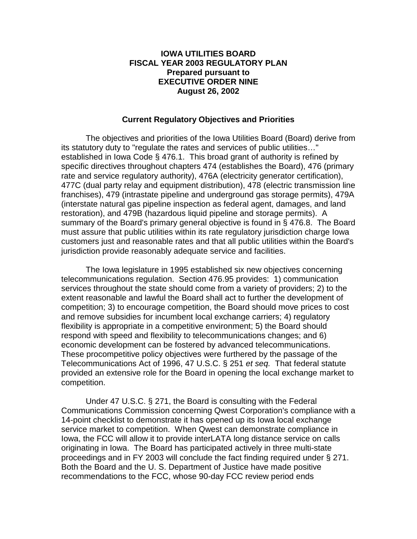#### **IOWA UTILITIES BOARD FISCAL YEAR 2003 REGULATORY PLAN Prepared pursuant to EXECUTIVE ORDER NINE August 26, 2002**

#### **Current Regulatory Objectives and Priorities**

 The objectives and priorities of the Iowa Utilities Board (Board) derive from its statutory duty to "regulate the rates and services of public utilities…" established in Iowa Code § 476.1. This broad grant of authority is refined by specific directives throughout chapters 474 (establishes the Board), 476 (primary rate and service regulatory authority), 476A (electricity generator certification), 477C (dual party relay and equipment distribution), 478 (electric transmission line franchises), 479 (intrastate pipeline and underground gas storage permits), 479A (interstate natural gas pipeline inspection as federal agent, damages, and land restoration), and 479B (hazardous liquid pipeline and storage permits). A summary of the Board's primary general objective is found in § 476.8. The Board must assure that public utilities within its rate regulatory jurisdiction charge Iowa customers just and reasonable rates and that all public utilities within the Board's jurisdiction provide reasonably adequate service and facilities.

 The Iowa legislature in 1995 established six new objectives concerning telecommunications regulation. Section 476.95 provides: 1) communication services throughout the state should come from a variety of providers; 2) to the extent reasonable and lawful the Board shall act to further the development of competition; 3) to encourage competition, the Board should move prices to cost and remove subsidies for incumbent local exchange carriers; 4) regulatory flexibility is appropriate in a competitive environment; 5) the Board should respond with speed and flexibility to telecommunications changes; and 6) economic development can be fostered by advanced telecommunications. These procompetitive policy objectives were furthered by the passage of the Telecommunications Act of 1996, 47 U.S.C. § 251 *et seq.* That federal statute provided an extensive role for the Board in opening the local exchange market to competition.

Under 47 U.S.C. § 271, the Board is consulting with the Federal Communications Commission concerning Qwest Corporation's compliance with a 14-point checklist to demonstrate it has opened up its Iowa local exchange service market to competition. When Qwest can demonstrate compliance in Iowa, the FCC will allow it to provide interLATA long distance service on calls originating in Iowa. The Board has participated actively in three multi-state proceedings and in FY 2003 will conclude the fact finding required under § 271. Both the Board and the U. S. Department of Justice have made positive recommendations to the FCC, whose 90-day FCC review period ends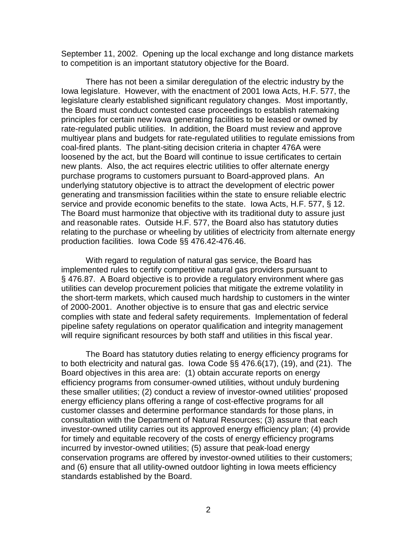September 11, 2002. Opening up the local exchange and long distance markets to competition is an important statutory objective for the Board.

 There has not been a similar deregulation of the electric industry by the Iowa legislature. However, with the enactment of 2001 Iowa Acts, H.F. 577, the legislature clearly established significant regulatory changes. Most importantly, the Board must conduct contested case proceedings to establish ratemaking principles for certain new Iowa generating facilities to be leased or owned by rate-regulated public utilities. In addition, the Board must review and approve multiyear plans and budgets for rate-regulated utilities to regulate emissions from coal-fired plants. The plant-siting decision criteria in chapter 476A were loosened by the act, but the Board will continue to issue certificates to certain new plants. Also, the act requires electric utilities to offer alternate energy purchase programs to customers pursuant to Board-approved plans. An underlying statutory objective is to attract the development of electric power generating and transmission facilities within the state to ensure reliable electric service and provide economic benefits to the state. Iowa Acts, H.F. 577, § 12. The Board must harmonize that objective with its traditional duty to assure just and reasonable rates. Outside H.F. 577, the Board also has statutory duties relating to the purchase or wheeling by utilities of electricity from alternate energy production facilities. Iowa Code §§ 476.42-476.46.

 With regard to regulation of natural gas service, the Board has implemented rules to certify competitive natural gas providers pursuant to § 476.87. A Board objective is to provide a regulatory environment where gas utilities can develop procurement policies that mitigate the extreme volatility in the short-term markets, which caused much hardship to customers in the winter of 2000-2001. Another objective is to ensure that gas and electric service complies with state and federal safety requirements. Implementation of federal pipeline safety regulations on operator qualification and integrity management will require significant resources by both staff and utilities in this fiscal year.

 The Board has statutory duties relating to energy efficiency programs for to both electricity and natural gas. Iowa Code §§ 476.6(17), (19), and (21). The Board objectives in this area are: (1) obtain accurate reports on energy efficiency programs from consumer-owned utilities, without unduly burdening these smaller utilities; (2) conduct a review of investor-owned utilities' proposed energy efficiency plans offering a range of cost-effective programs for all customer classes and determine performance standards for those plans, in consultation with the Department of Natural Resources; (3) assure that each investor-owned utility carries out its approved energy efficiency plan; (4) provide for timely and equitable recovery of the costs of energy efficiency programs incurred by investor-owned utilities; (5) assure that peak-load energy conservation programs are offered by investor-owned utilities to their customers; and (6) ensure that all utility-owned outdoor lighting in Iowa meets efficiency standards established by the Board.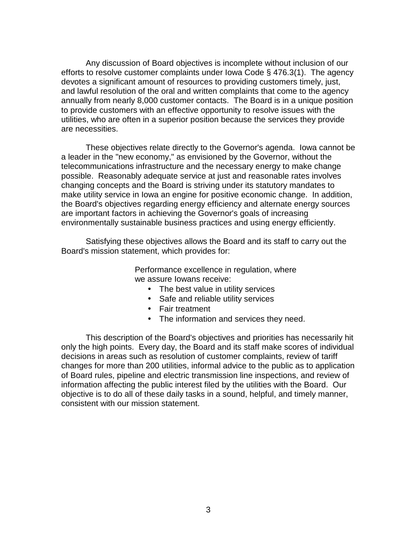Any discussion of Board objectives is incomplete without inclusion of our efforts to resolve customer complaints under Iowa Code § 476.3(1). The agency devotes a significant amount of resources to providing customers timely, just, and lawful resolution of the oral and written complaints that come to the agency annually from nearly 8,000 customer contacts. The Board is in a unique position to provide customers with an effective opportunity to resolve issues with the utilities, who are often in a superior position because the services they provide are necessities.

 These objectives relate directly to the Governor's agenda. Iowa cannot be a leader in the "new economy," as envisioned by the Governor, without the telecommunications infrastructure and the necessary energy to make change possible. Reasonably adequate service at just and reasonable rates involves changing concepts and the Board is striving under its statutory mandates to make utility service in Iowa an engine for positive economic change. In addition, the Board's objectives regarding energy efficiency and alternate energy sources are important factors in achieving the Governor's goals of increasing environmentally sustainable business practices and using energy efficiently.

 Satisfying these objectives allows the Board and its staff to carry out the Board's mission statement, which provides for:

> Performance excellence in regulation, where we assure Iowans receive:

- The best value in utility services
- Safe and reliable utility services
- Fair treatment
- The information and services they need.

 This description of the Board's objectives and priorities has necessarily hit only the high points. Every day, the Board and its staff make scores of individual decisions in areas such as resolution of customer complaints, review of tariff changes for more than 200 utilities, informal advice to the public as to application of Board rules, pipeline and electric transmission line inspections, and review of information affecting the public interest filed by the utilities with the Board. Our objective is to do all of these daily tasks in a sound, helpful, and timely manner, consistent with our mission statement.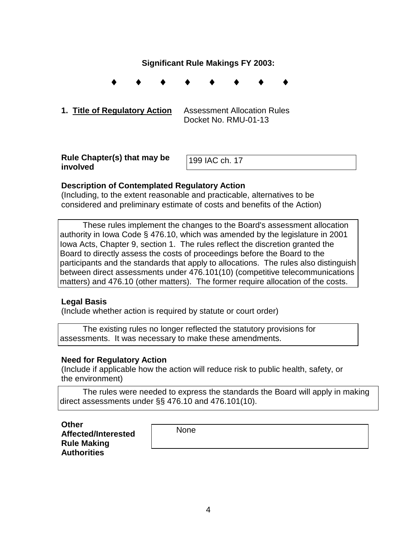### **Significant Rule Makings FY 2003:**

♦ ♦ ♦ ♦ ♦ ♦ ♦ ♦

**1. Title of Regulatory Action** Assessment Allocation Rules Docket No. RMU-01-13

**Rule Chapter(s) that may be involved** 

199 IAC ch. 17

### **Description of Contemplated Regulatory Action**

(Including, to the extent reasonable and practicable, alternatives to be considered and preliminary estimate of costs and benefits of the Action)

 These rules implement the changes to the Board's assessment allocation authority in Iowa Code § 476.10, which was amended by the legislature in 2001 Iowa Acts, Chapter 9, section 1. The rules reflect the discretion granted the Board to directly assess the costs of proceedings before the Board to the participants and the standards that apply to allocations. The rules also distinguish between direct assessments under 476.101(10) (competitive telecommunications matters) and 476.10 (other matters). The former require allocation of the costs.

### **Legal Basis**

(Include whether action is required by statute or court order)

 The existing rules no longer reflected the statutory provisions for assessments. It was necessary to make these amendments.

#### **Need for Regulatory Action**

(Include if applicable how the action will reduce risk to public health, safety, or the environment)

 The rules were needed to express the standards the Board will apply in making direct assessments under §§ 476.10 and 476.101(10).

**Other** 

**Affected/Interested Rule Making Authorities** 

None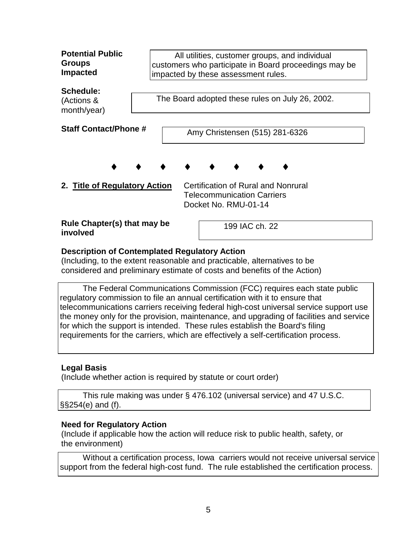| <b>Potential Public</b><br><b>Groups</b><br><b>Impacted</b> |  | All utilities, customer groups, and individual<br>impacted by these assessment rules. |                                                                                                  |  | customers who participate in Board proceedings may be |  |
|-------------------------------------------------------------|--|---------------------------------------------------------------------------------------|--------------------------------------------------------------------------------------------------|--|-------------------------------------------------------|--|
| Schedule:<br>(Actions &<br>month/year)                      |  | The Board adopted these rules on July 26, 2002.                                       |                                                                                                  |  |                                                       |  |
| <b>Staff Contact/Phone #</b>                                |  |                                                                                       | Amy Christensen (515) 281-6326                                                                   |  |                                                       |  |
|                                                             |  |                                                                                       |                                                                                                  |  |                                                       |  |
| 2. Title of Regulatory Action                               |  |                                                                                       | Certification of Rural and Nonrural<br><b>Telecommunication Carriers</b><br>Docket No. RMU-01-14 |  |                                                       |  |
| Rule Chapter(s) that may be<br>involved                     |  |                                                                                       | 199 IAC ch. 22                                                                                   |  |                                                       |  |

(Including, to the extent reasonable and practicable, alternatives to be considered and preliminary estimate of costs and benefits of the Action)

 The Federal Communications Commission (FCC) requires each state public regulatory commission to file an annual certification with it to ensure that telecommunications carriers receiving federal high-cost universal service support use the money only for the provision, maintenance, and upgrading of facilities and service for which the support is intended. These rules establish the Board's filing requirements for the carriers, which are effectively a self-certification process.

## **Legal Basis**

(Include whether action is required by statute or court order)

 This rule making was under § 476.102 (universal service) and 47 U.S.C. §§254(e) and (f).

## **Need for Regulatory Action**

(Include if applicable how the action will reduce risk to public health, safety, or the environment)

 Without a certification process, Iowa carriers would not receive universal service support from the federal high-cost fund. The rule established the certification process.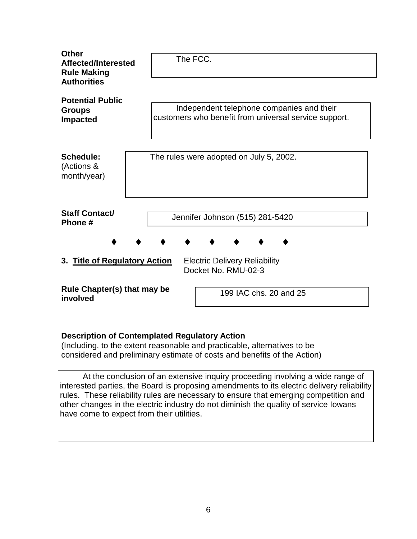| <b>Other</b><br>Affected/Interested      |  |                                         | The FCC. |  |                                                             |                        |                                                                                                    |  |  |  |  |  |
|------------------------------------------|--|-----------------------------------------|----------|--|-------------------------------------------------------------|------------------------|----------------------------------------------------------------------------------------------------|--|--|--|--|--|
| <b>Rule Making</b><br><b>Authorities</b> |  |                                         |          |  |                                                             |                        |                                                                                                    |  |  |  |  |  |
| <b>Potential Public</b><br><b>Groups</b> |  |                                         |          |  |                                                             |                        | Independent telephone companies and their<br>customers who benefit from universal service support. |  |  |  |  |  |
| <b>Impacted</b>                          |  |                                         |          |  |                                                             |                        |                                                                                                    |  |  |  |  |  |
| Schedule:<br>(Actions &<br>month/year)   |  | The rules were adopted on July 5, 2002. |          |  |                                                             |                        |                                                                                                    |  |  |  |  |  |
| <b>Staff Contact/</b><br>Phone #         |  |                                         |          |  |                                                             |                        | Jennifer Johnson (515) 281-5420                                                                    |  |  |  |  |  |
|                                          |  |                                         |          |  |                                                             |                        |                                                                                                    |  |  |  |  |  |
| 3. Title of Regulatory Action            |  |                                         |          |  | <b>Electric Delivery Reliability</b><br>Docket No. RMU-02-3 |                        |                                                                                                    |  |  |  |  |  |
| Rule Chapter(s) that may be<br>involved  |  |                                         |          |  |                                                             | 199 IAC chs. 20 and 25 |                                                                                                    |  |  |  |  |  |

(Including, to the extent reasonable and practicable, alternatives to be considered and preliminary estimate of costs and benefits of the Action)

 At the conclusion of an extensive inquiry proceeding involving a wide range of interested parties, the Board is proposing amendments to its electric delivery reliability rules. These reliability rules are necessary to ensure that emerging competition and other changes in the electric industry do not diminish the quality of service Iowans have come to expect from their utilities.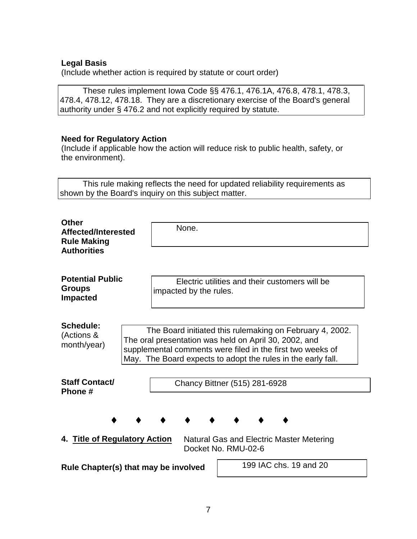### **Legal Basis**

(Include whether action is required by statute or court order)

 These rules implement Iowa Code §§ 476.1, 476.1A, 476.8, 478.1, 478.3, 478.4, 478.12, 478.18. They are a discretionary exercise of the Board's general authority under § 476.2 and not explicitly required by statute.

### **Need for Regulatory Action**

(Include if applicable how the action will reduce risk to public health, safety, or the environment).

 This rule making reflects the need for updated reliability requirements as shown by the Board's inquiry on this subject matter.

| Other<br>Affected/Interested<br><b>Rule Making</b><br><b>Authorities</b> | None.                                                                                                                                                                                                                                           |  |  |  |
|--------------------------------------------------------------------------|-------------------------------------------------------------------------------------------------------------------------------------------------------------------------------------------------------------------------------------------------|--|--|--|
| <b>Potential Public</b><br><b>Groups</b><br><b>Impacted</b>              | Electric utilities and their customers will be<br>impacted by the rules.                                                                                                                                                                        |  |  |  |
| Schedule:<br>(Actions &<br>month/year)                                   | The Board initiated this rulemaking on February 4, 2002.<br>The oral presentation was held on April 30, 2002, and<br>supplemental comments were filed in the first two weeks of<br>May. The Board expects to adopt the rules in the early fall. |  |  |  |
| <b>Staff Contact/</b><br>Phone #                                         | Chancy Bittner (515) 281-6928                                                                                                                                                                                                                   |  |  |  |
| 4. Title of Regulatory Action                                            | Natural Gas and Electric Master Metering<br>Docket No. RMU-02-6                                                                                                                                                                                 |  |  |  |
| Rule Chapter(s) that may be involved                                     | 199 IAC chs. 19 and 20                                                                                                                                                                                                                          |  |  |  |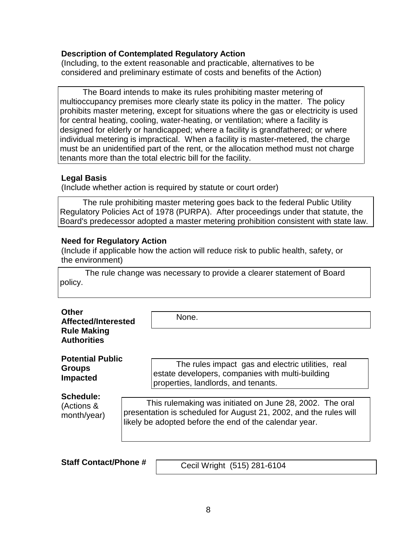(Including, to the extent reasonable and practicable, alternatives to be considered and preliminary estimate of costs and benefits of the Action)

 The Board intends to make its rules prohibiting master metering of multioccupancy premises more clearly state its policy in the matter. The policy prohibits master metering, except for situations where the gas or electricity is used for central heating, cooling, water-heating, or ventilation; where a facility is designed for elderly or handicapped; where a facility is grandfathered; or where individual metering is impractical. When a facility is master-metered, the charge must be an unidentified part of the rent, or the allocation method must not charge tenants more than the total electric bill for the facility.

#### **Legal Basis**

(Include whether action is required by statute or court order)

 The rule prohibiting master metering goes back to the federal Public Utility Regulatory Policies Act of 1978 (PURPA). After proceedings under that statute, the Board's predecessor adopted a master metering prohibition consistent with state law.

### **Need for Regulatory Action**

(Include if applicable how the action will reduce risk to public health, safety, or the environment)

 The rule change was necessary to provide a clearer statement of Board policy.

| <b>Other</b><br>Affected/Interested<br><b>Rule Making</b><br><b>Authorities</b> | None.                                                             |
|---------------------------------------------------------------------------------|-------------------------------------------------------------------|
| <b>Potential Public</b>                                                         | The rules impact gas and electric utilities, real                 |
| <b>Groups</b>                                                                   | estate developers, companies with multi-building                  |
| <b>Impacted</b>                                                                 | properties, landlords, and tenants.                               |
| Schedule:                                                                       | This rulemaking was initiated on June 28, 2002. The oral          |
| (Actions &                                                                      | presentation is scheduled for August 21, 2002, and the rules will |
| month/year)                                                                     | likely be adopted before the end of the calendar year.            |

**Staff Contact/Phone #** 

Cecil Wright (515) 281-6104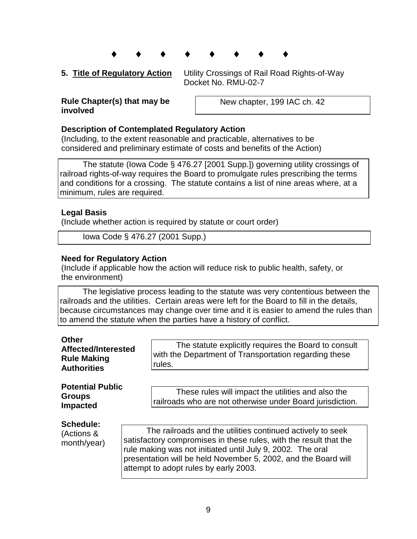- ♦ ♦ ♦ ♦ ♦ ♦ ♦ ♦
- 

**5. Title of Regulatory Action** Utility Crossings of Rail Road Rights-of-Way Docket No. RMU-02-7

#### **Rule Chapter(s) that may be involved**

New chapter, 199 IAC ch. 42

### **Description of Contemplated Regulatory Action**

(Including, to the extent reasonable and practicable, alternatives to be considered and preliminary estimate of costs and benefits of the Action)

 The statute (Iowa Code § 476.27 [2001 Supp.]) governing utility crossings of railroad rights-of-way requires the Board to promulgate rules prescribing the terms and conditions for a crossing. The statute contains a list of nine areas where, at a minimum, rules are required.

### **Legal Basis**

(Include whether action is required by statute or court order)

Iowa Code § 476.27 (2001 Supp.)

#### **Need for Regulatory Action**

(Include if applicable how the action will reduce risk to public health, safety, or the environment)

 The legislative process leading to the statute was very contentious between the railroads and the utilities. Certain areas were left for the Board to fill in the details, because circumstances may change over time and it is easier to amend the rules than to amend the statute when the parties have a history of conflict.

| <b>Other</b><br>Affected/Interested<br><b>Rule Making</b><br><b>Authorities</b> | The statute explicitly requires the Board to consult<br>with the Department of Transportation regarding these<br>rules.                                                                                                                                                                                  |
|---------------------------------------------------------------------------------|----------------------------------------------------------------------------------------------------------------------------------------------------------------------------------------------------------------------------------------------------------------------------------------------------------|
| <b>Potential Public</b><br><b>Groups</b><br><b>Impacted</b>                     | These rules will impact the utilities and also the<br>railroads who are not otherwise under Board jurisdiction.                                                                                                                                                                                          |
| <b>Schedule:</b><br>(Actions &<br>month/year)                                   | The railroads and the utilities continued actively to seek<br>satisfactory compromises in these rules, with the result that the<br>rule making was not initiated until July 9, 2002. The oral<br>presentation will be held November 5, 2002, and the Board will<br>attempt to adopt rules by early 2003. |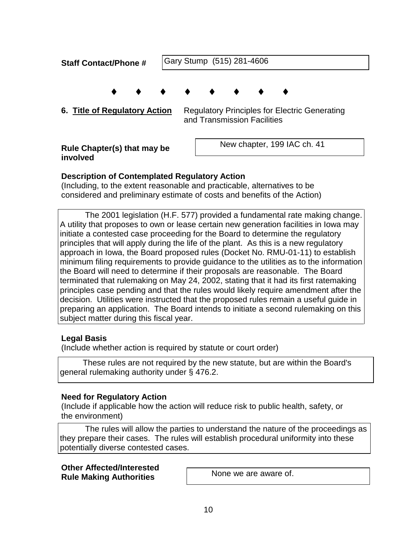| <b>Staff Contact/Phone #</b>            | Gary Stump (515) 281-4606 |  |  |                             |  |                                                      |  |
|-----------------------------------------|---------------------------|--|--|-----------------------------|--|------------------------------------------------------|--|
| 6. Title of Regulatory Action           |                           |  |  | and Transmission Facilities |  | <b>Regulatory Principles for Electric Generating</b> |  |
| Rule Chapter(s) that may be<br>involved |                           |  |  |                             |  | New chapter, 199 IAC ch. 41                          |  |

(Including, to the extent reasonable and practicable, alternatives to be considered and preliminary estimate of costs and benefits of the Action)

 The 2001 legislation (H.F. 577) provided a fundamental rate making change. A utility that proposes to own or lease certain new generation facilities in Iowa may initiate a contested case proceeding for the Board to determine the regulatory principles that will apply during the life of the plant. As this is a new regulatory approach in Iowa, the Board proposed rules (Docket No. RMU-01-11) to establish minimum filing requirements to provide guidance to the utilities as to the information the Board will need to determine if their proposals are reasonable. The Board terminated that rulemaking on May 24, 2002, stating that it had its first ratemaking principles case pending and that the rules would likely require amendment after the decision. Utilities were instructed that the proposed rules remain a useful guide in preparing an application. The Board intends to initiate a second rulemaking on this subject matter during this fiscal year.

## **Legal Basis**

(Include whether action is required by statute or court order)

 These rules are not required by the new statute, but are within the Board's general rulemaking authority under § 476.2.

### **Need for Regulatory Action**

(Include if applicable how the action will reduce risk to public health, safety, or the environment)

 The rules will allow the parties to understand the nature of the proceedings as they prepare their cases. The rules will establish procedural uniformity into these potentially diverse contested cases.

#### **Other Affected/Interested Rule Making Authorities**

None we are aware of.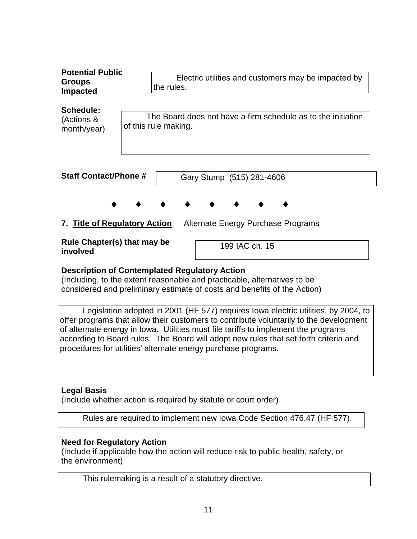| <b>Potential Public</b><br><b>Groups</b><br><b>Impacted</b> | Electric utilities and customers may be impacted by<br>the rules.                    |
|-------------------------------------------------------------|--------------------------------------------------------------------------------------|
| Schedule:<br>(Actions &<br>month/year)                      | The Board does not have a firm schedule as to the initiation<br>of this rule making. |
| <b>Staff Contact/Phone #</b>                                | Gary Stump (515) 281-4606                                                            |
|                                                             |                                                                                      |
| 7. Title of Regulatory Action                               | Alternate Energy Purchase Programs                                                   |
| Rule Chapter(s) that may be<br>involved                     | 199 IAC ch. 15                                                                       |

(Including, to the extent reasonable and practicable, alternatives to be considered and preliminary estimate of costs and benefits of the Action)

 Legislation adopted in 2001 (HF 577) requires Iowa electric utilities, by 2004, to offer programs that allow their customers to contribute voluntarily to the development of alternate energy in Iowa. Utilities must file tariffs to implement the programs according to Board rules. The Board will adopt new rules that set forth criteria and procedures for utilities' alternate energy purchase programs.

## **Legal Basis**

(Include whether action is required by statute or court order)

Rules are required to implement new Iowa Code Section 476.47 (HF 577).

## **Need for Regulatory Action**

(Include if applicable how the action will reduce risk to public health, safety, or the environment)

This rulemaking is a result of a statutory directive.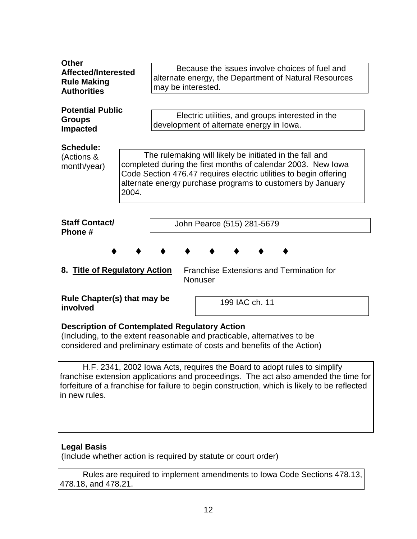| <b>Other</b>                                                |       |                                                                                                                                   |  |  |  |  |  |  |  |
|-------------------------------------------------------------|-------|-----------------------------------------------------------------------------------------------------------------------------------|--|--|--|--|--|--|--|
| Affected/Interested                                         |       | Because the issues involve choices of fuel and                                                                                    |  |  |  |  |  |  |  |
| <b>Rule Making</b>                                          |       | alternate energy, the Department of Natural Resources                                                                             |  |  |  |  |  |  |  |
| <b>Authorities</b>                                          |       | may be interested.                                                                                                                |  |  |  |  |  |  |  |
|                                                             |       |                                                                                                                                   |  |  |  |  |  |  |  |
| <b>Potential Public</b><br><b>Groups</b><br><b>Impacted</b> |       | Electric utilities, and groups interested in the                                                                                  |  |  |  |  |  |  |  |
|                                                             |       | development of alternate energy in lowa.                                                                                          |  |  |  |  |  |  |  |
|                                                             |       |                                                                                                                                   |  |  |  |  |  |  |  |
| Schedule:                                                   |       |                                                                                                                                   |  |  |  |  |  |  |  |
| (Actions &                                                  |       | The rulemaking will likely be initiated in the fall and                                                                           |  |  |  |  |  |  |  |
| month/year)                                                 |       | completed during the first months of calendar 2003. New lowa<br>Code Section 476.47 requires electric utilities to begin offering |  |  |  |  |  |  |  |
|                                                             |       | alternate energy purchase programs to customers by January                                                                        |  |  |  |  |  |  |  |
|                                                             | 2004. |                                                                                                                                   |  |  |  |  |  |  |  |
|                                                             |       |                                                                                                                                   |  |  |  |  |  |  |  |
|                                                             |       |                                                                                                                                   |  |  |  |  |  |  |  |
| <b>Staff Contact/</b>                                       |       | John Pearce (515) 281-5679                                                                                                        |  |  |  |  |  |  |  |
| Phone #                                                     |       |                                                                                                                                   |  |  |  |  |  |  |  |
|                                                             |       |                                                                                                                                   |  |  |  |  |  |  |  |
|                                                             |       |                                                                                                                                   |  |  |  |  |  |  |  |
| 8. Title of Regulatory Action                               |       | <b>Franchise Extensions and Termination for</b>                                                                                   |  |  |  |  |  |  |  |
|                                                             |       | Nonuser                                                                                                                           |  |  |  |  |  |  |  |
|                                                             |       |                                                                                                                                   |  |  |  |  |  |  |  |
| Rule Chapter(s) that may be                                 |       | 199 IAC ch. 11                                                                                                                    |  |  |  |  |  |  |  |
| involved                                                    |       |                                                                                                                                   |  |  |  |  |  |  |  |
|                                                             |       | <b>Description of Contemplated Regulatory Action</b>                                                                              |  |  |  |  |  |  |  |
|                                                             |       | (Including, to the extent reasonable and practicable, alternatives to be                                                          |  |  |  |  |  |  |  |
|                                                             |       | considered and preliminary estimate of costs and benefits of the Action)                                                          |  |  |  |  |  |  |  |

 H.F. 2341, 2002 Iowa Acts, requires the Board to adopt rules to simplify franchise extension applications and proceedings. The act also amended the time for forfeiture of a franchise for failure to begin construction, which is likely to be reflected in new rules.

## **Legal Basis**

(Include whether action is required by statute or court order)

 Rules are required to implement amendments to Iowa Code Sections 478.13, 478.18, and 478.21.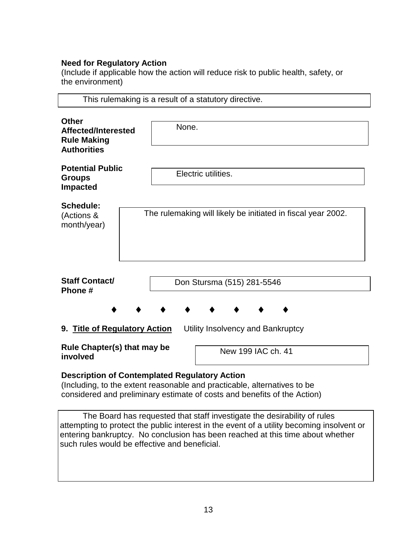## **Need for Regulatory Action**

(Include if applicable how the action will reduce risk to public health, safety, or the environment)

|                                                                                 | This rulemaking is a result of a statutory directive.        |  |  |  |  |
|---------------------------------------------------------------------------------|--------------------------------------------------------------|--|--|--|--|
| <b>Other</b><br>Affected/Interested<br><b>Rule Making</b><br><b>Authorities</b> | None.                                                        |  |  |  |  |
| <b>Potential Public</b><br><b>Groups</b><br><b>Impacted</b>                     | Electric utilities.                                          |  |  |  |  |
| <b>Schedule:</b><br>(Actions &<br>month/year)                                   | The rulemaking will likely be initiated in fiscal year 2002. |  |  |  |  |
| <b>Staff Contact/</b><br>Phone #                                                | Don Stursma (515) 281-5546                                   |  |  |  |  |
| 9. Title of Regulatory Action<br>Utility Insolvency and Bankruptcy              |                                                              |  |  |  |  |
| Rule Chapter(s) that may be<br>New 199 IAC ch. 41<br>involved                   |                                                              |  |  |  |  |

# **Description of Contemplated Regulatory Action**

(Including, to the extent reasonable and practicable, alternatives to be considered and preliminary estimate of costs and benefits of the Action)

 The Board has requested that staff investigate the desirability of rules attempting to protect the public interest in the event of a utility becoming insolvent or entering bankruptcy. No conclusion has been reached at this time about whether such rules would be effective and beneficial.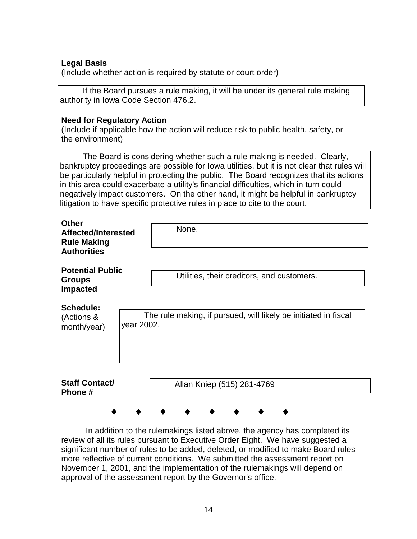### **Legal Basis**

(Include whether action is required by statute or court order)

 If the Board pursues a rule making, it will be under its general rule making authority in Iowa Code Section 476.2.

#### **Need for Regulatory Action**

(Include if applicable how the action will reduce risk to public health, safety, or the environment)

 The Board is considering whether such a rule making is needed. Clearly, bankruptcy proceedings are possible for Iowa utilities, but it is not clear that rules will be particularly helpful in protecting the public. The Board recognizes that its actions in this area could exacerbate a utility's financial difficulties, which in turn could negatively impact customers. On the other hand, it might be helpful in bankruptcy litigation to have specific protective rules in place to cite to the court.

| <b>Other</b><br>Affected/Interested<br><b>Rule Making</b><br><b>Authorities</b> | None.                                                                         |
|---------------------------------------------------------------------------------|-------------------------------------------------------------------------------|
| <b>Potential Public</b><br><b>Groups</b><br><b>Impacted</b>                     | Utilities, their creditors, and customers.                                    |
| <b>Schedule:</b><br>(Actions &<br>month/year)                                   | The rule making, if pursued, will likely be initiated in fiscal<br>year 2002. |
| <b>Staff Contact/</b><br>Phone #                                                | Allan Kniep (515) 281-4769                                                    |

 In addition to the rulemakings listed above, the agency has completed its review of all its rules pursuant to Executive Order Eight. We have suggested a significant number of rules to be added, deleted, or modified to make Board rules more reflective of current conditions. We submitted the assessment report on November 1, 2001, and the implementation of the rulemakings will depend on approval of the assessment report by the Governor's office.